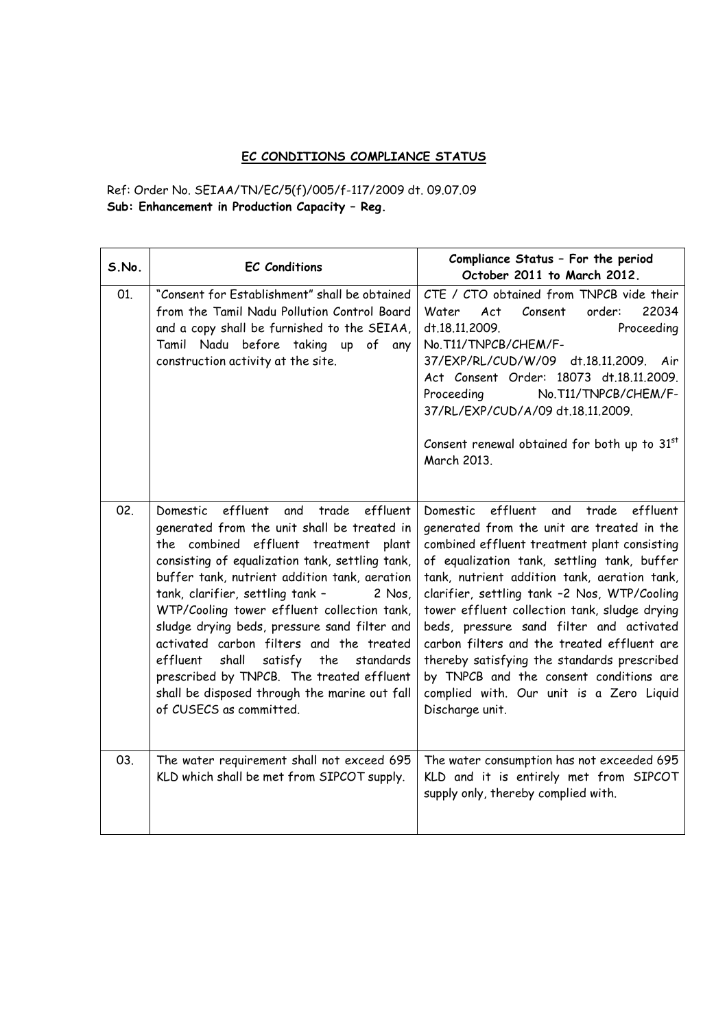## EC CONDITIONS COMPLIANCE STATUS

Ref: Order No. SEIAA/TN/EC/5(f)/005/f-117/2009 dt. 09.07.09 Sub: Enhancement in Production Capacity – Reg.

| S.No. | <b>EC Conditions</b>                                                                                                                                                                                                                                                                                                                                                                                                                                                                                                                                                                                               | Compliance Status - For the period<br>October 2011 to March 2012.                                                                                                                                                                                                                                                                                                                                                                                                                                                                                                                               |
|-------|--------------------------------------------------------------------------------------------------------------------------------------------------------------------------------------------------------------------------------------------------------------------------------------------------------------------------------------------------------------------------------------------------------------------------------------------------------------------------------------------------------------------------------------------------------------------------------------------------------------------|-------------------------------------------------------------------------------------------------------------------------------------------------------------------------------------------------------------------------------------------------------------------------------------------------------------------------------------------------------------------------------------------------------------------------------------------------------------------------------------------------------------------------------------------------------------------------------------------------|
| 01.   | "Consent for Establishment" shall be obtained<br>from the Tamil Nadu Pollution Control Board<br>and a copy shall be furnished to the SEIAA,<br>Tamil Nadu before taking up of any<br>construction activity at the site.                                                                                                                                                                                                                                                                                                                                                                                            | CTE / CTO obtained from TNPCB vide their<br>22034<br>Water<br>Act<br>Consent<br>order:<br>Proceeding<br>dt.18.11.2009.<br>No.T11/TNPCB/CHEM/F-<br>37/EXP/RL/CUD/W/09 dt.18.11.2009. Air<br>Act Consent Order: 18073 dt.18.11.2009.<br>No.T11/TNPCB/CHEM/F-<br>Proceeding<br>37/RL/EXP/CUD/A/09 dt.18.11.2009.<br>Consent renewal obtained for both up to 31 <sup>st</sup><br>March 2013.                                                                                                                                                                                                        |
| 02.   | effluent<br>and<br>trade<br>effluent<br>Domestic<br>generated from the unit shall be treated in<br>the combined effluent treatment plant<br>consisting of equalization tank, settling tank,<br>buffer tank, nutrient addition tank, aeration<br>tank, clarifier, settling tank -<br>2 Nos,<br>WTP/Cooling tower effluent collection tank,<br>sludge drying beds, pressure sand filter and<br>activated carbon filters and the treated<br>effluent<br>shall<br>satisfy<br>the<br>standards<br>prescribed by TNPCB. The treated effluent<br>shall be disposed through the marine out fall<br>of CUSECS as committed. | effluent<br>effluent<br>Domestic<br>and trade<br>generated from the unit are treated in the<br>combined effluent treatment plant consisting<br>of equalization tank, settling tank, buffer<br>tank, nutrient addition tank, aeration tank,<br>clarifier, settling tank -2 Nos, WTP/Cooling<br>tower effluent collection tank, sludge drying<br>beds, pressure sand filter and activated<br>carbon filters and the treated effluent are<br>thereby satisfying the standards prescribed<br>by TNPCB and the consent conditions are<br>complied with. Our unit is a Zero Liquid<br>Discharge unit. |
| 03.   | The water requirement shall not exceed 695<br>KLD which shall be met from SIPCOT supply.                                                                                                                                                                                                                                                                                                                                                                                                                                                                                                                           | The water consumption has not exceeded 695<br>KLD and it is entirely met from SIPCOT<br>supply only, thereby complied with.                                                                                                                                                                                                                                                                                                                                                                                                                                                                     |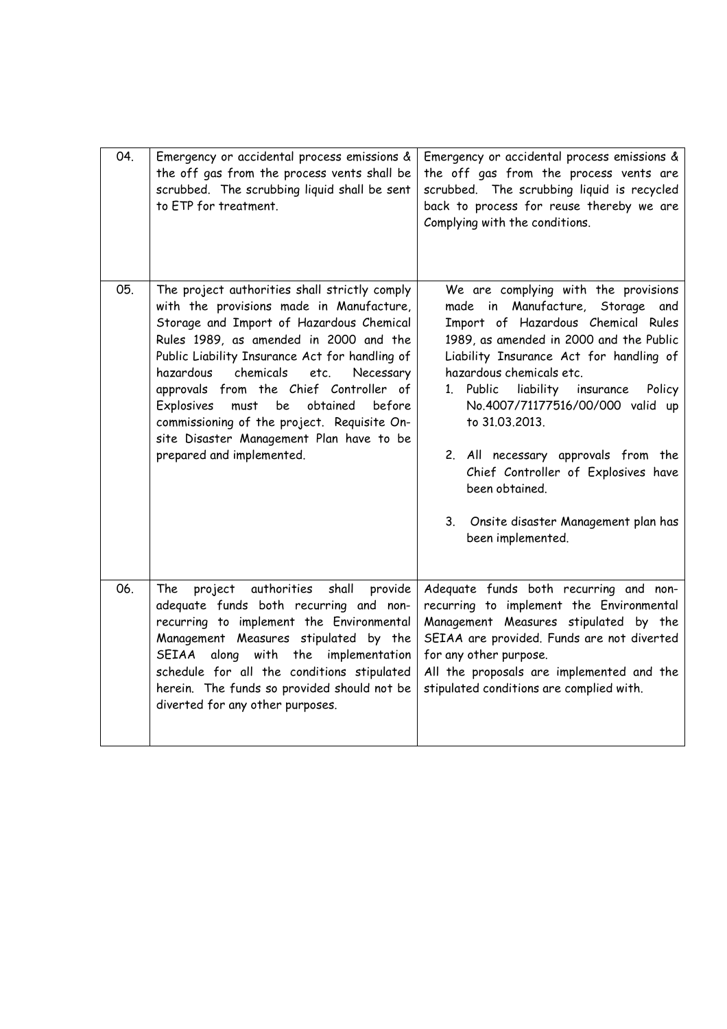| 04. | Emergency or accidental process emissions &<br>the off gas from the process vents shall be<br>scrubbed. The scrubbing liquid shall be sent<br>to ETP for treatment.                                                                                                                                                                                                                                                                                                                                  | Emergency or accidental process emissions &<br>the off gas from the process vents are<br>scrubbed. The scrubbing liquid is recycled<br>back to process for reuse thereby we are<br>Complying with the conditions.                                                                                                                                                                                                                                                                                   |
|-----|------------------------------------------------------------------------------------------------------------------------------------------------------------------------------------------------------------------------------------------------------------------------------------------------------------------------------------------------------------------------------------------------------------------------------------------------------------------------------------------------------|-----------------------------------------------------------------------------------------------------------------------------------------------------------------------------------------------------------------------------------------------------------------------------------------------------------------------------------------------------------------------------------------------------------------------------------------------------------------------------------------------------|
| 05. | The project authorities shall strictly comply<br>with the provisions made in Manufacture,<br>Storage and Import of Hazardous Chemical<br>Rules 1989, as amended in 2000 and the<br>Public Liability Insurance Act for handling of<br>chemicals<br>hazardous<br>Necessary<br>etc.<br>approvals from the Chief Controller of<br>Explosives<br>obtained<br>must<br>be<br>before<br>commissioning of the project. Requisite On-<br>site Disaster Management Plan have to be<br>prepared and implemented. | We are complying with the provisions<br>made in Manufacture, Storage and<br>Import of Hazardous Chemical Rules<br>1989, as amended in 2000 and the Public<br>Liability Insurance Act for handling of<br>hazardous chemicals etc.<br>Policy<br>1. Public<br>liability insurance<br>No.4007/71177516/00/000 valid up<br>to 31.03.2013.<br>2. All necessary approvals from the<br>Chief Controller of Explosives have<br>been obtained.<br>3. Onsite disaster Management plan has<br>been implemented. |
| 06. | project authorities<br>shall<br>provide<br>The<br>adequate funds both recurring and non-<br>recurring to implement the Environmental<br>Management Measures stipulated by the<br>SEIAA along with the implementation<br>schedule for all the conditions stipulated<br>herein. The funds so provided should not be<br>diverted for any other purposes.                                                                                                                                                | Adequate funds both recurring and non-<br>recurring to implement the Environmental<br>Management Measures stipulated by the<br>SEIAA are provided. Funds are not diverted<br>for any other purpose.<br>All the proposals are implemented and the<br>stipulated conditions are complied with.                                                                                                                                                                                                        |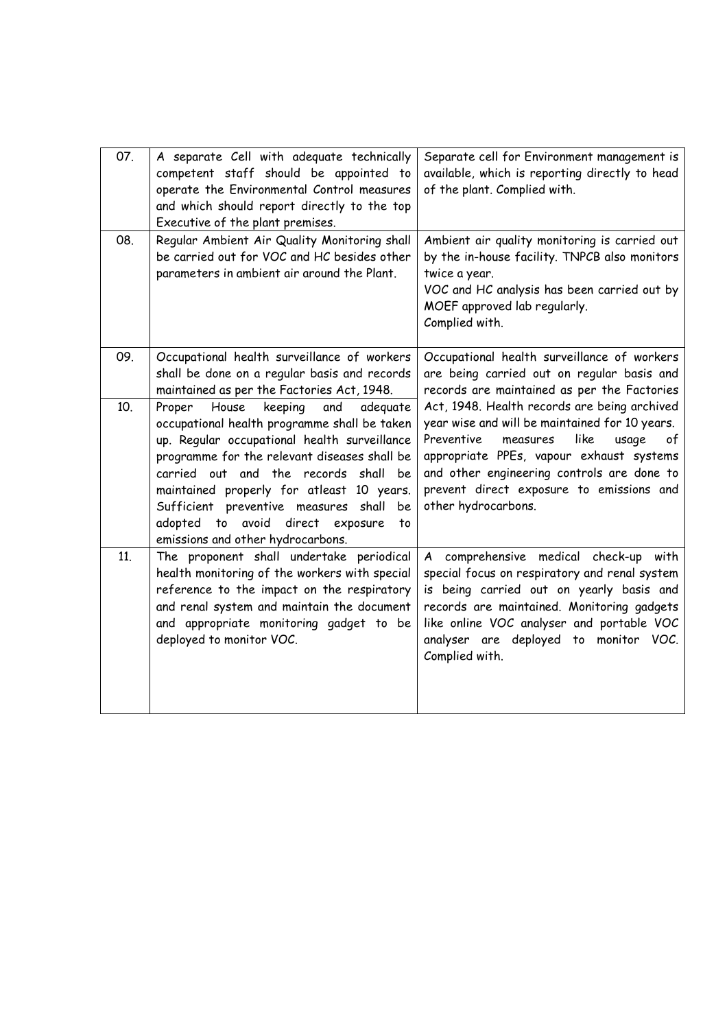| 07. | A separate Cell with adequate technically<br>competent staff should be appointed to<br>operate the Environmental Control measures<br>and which should report directly to the top<br>Executive of the plant premises.                                                                                                                                                                                            | Separate cell for Environment management is<br>available, which is reporting directly to head<br>of the plant. Complied with.                                                                                                                                                                                |
|-----|-----------------------------------------------------------------------------------------------------------------------------------------------------------------------------------------------------------------------------------------------------------------------------------------------------------------------------------------------------------------------------------------------------------------|--------------------------------------------------------------------------------------------------------------------------------------------------------------------------------------------------------------------------------------------------------------------------------------------------------------|
| 08. | Regular Ambient Air Quality Monitoring shall<br>be carried out for VOC and HC besides other<br>parameters in ambient air around the Plant.                                                                                                                                                                                                                                                                      | Ambient air quality monitoring is carried out<br>by the in-house facility. TNPCB also monitors<br>twice a year.<br>VOC and HC analysis has been carried out by<br>MOEF approved lab regularly.<br>Complied with.                                                                                             |
| 09. | Occupational health surveillance of workers<br>shall be done on a regular basis and records<br>maintained as per the Factories Act, 1948.                                                                                                                                                                                                                                                                       | Occupational health surveillance of workers<br>are being carried out on regular basis and<br>records are maintained as per the Factories                                                                                                                                                                     |
| 10. | Proper<br>House<br>keeping<br>adeguate<br>and<br>occupational health programme shall be taken<br>up. Regular occupational health surveillance<br>programme for the relevant diseases shall be<br>carried out and the records shall be<br>maintained properly for atleast 10 years.<br>Sufficient preventive measures shall<br>be<br>adopted to avoid direct exposure<br>to<br>emissions and other hydrocarbons. | Act, 1948. Health records are being archived<br>year wise and will be maintained for 10 years.<br>Preventive<br>like<br>of<br>measures<br>usage<br>appropriate PPEs, vapour exhaust systems<br>and other engineering controls are done to<br>prevent direct exposure to emissions and<br>other hydrocarbons. |
| 11. | The proponent shall undertake periodical<br>health monitoring of the workers with special<br>reference to the impact on the respiratory<br>and renal system and maintain the document<br>and appropriate monitoring gadget to be<br>deployed to monitor VOC.                                                                                                                                                    | A comprehensive medical check-up with<br>special focus on respiratory and renal system<br>is being carried out on yearly basis and<br>records are maintained. Monitoring gadgets<br>like online VOC analyser and portable VOC<br>analyser are deployed to monitor VOC.<br>Complied with.                     |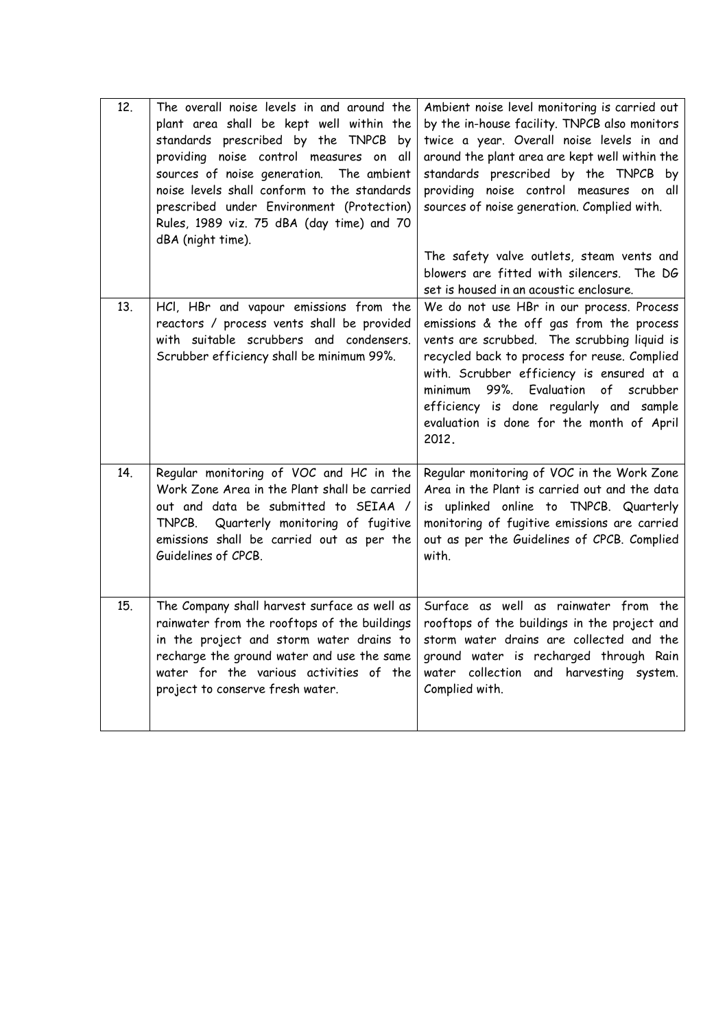| 12. | The overall noise levels in and around the<br>plant area shall be kept well within the<br>standards prescribed by the TNPCB by<br>providing noise control measures on all<br>sources of noise generation.<br>The ambient<br>noise levels shall conform to the standards<br>prescribed under Environment (Protection)<br>Rules, 1989 viz. 75 dBA (day time) and 70<br>dBA (night time). | Ambient noise level monitoring is carried out<br>by the in-house facility. TNPCB also monitors<br>twice a year. Overall noise levels in and<br>around the plant area are kept well within the<br>standards prescribed by the TNPCB by<br>providing noise control measures on all<br>sources of noise generation. Complied with.<br>The safety valve outlets, steam vents and<br>blowers are fitted with silencers. The DG<br>set is housed in an acoustic enclosure. |
|-----|----------------------------------------------------------------------------------------------------------------------------------------------------------------------------------------------------------------------------------------------------------------------------------------------------------------------------------------------------------------------------------------|----------------------------------------------------------------------------------------------------------------------------------------------------------------------------------------------------------------------------------------------------------------------------------------------------------------------------------------------------------------------------------------------------------------------------------------------------------------------|
| 13. | HCI, HBr and vapour emissions from the<br>reactors / process vents shall be provided<br>with suitable scrubbers and condensers.<br>Scrubber efficiency shall be minimum 99%.                                                                                                                                                                                                           | We do not use HBr in our process. Process<br>emissions & the off gas from the process<br>vents are scrubbed. The scrubbing liquid is<br>recycled back to process for reuse. Complied<br>with. Scrubber efficiency is ensured at a<br>minimum 99%. Evaluation of scrubber<br>efficiency is done regularly and sample<br>evaluation is done for the month of April<br>2012.                                                                                            |
| 14. | Regular monitoring of VOC and HC in the<br>Work Zone Area in the Plant shall be carried<br>out and data be submitted to SEIAA /<br>Quarterly monitoring of fugitive<br>TNPCB.<br>emissions shall be carried out as per the<br>Guidelines of CPCB.                                                                                                                                      | Regular monitoring of VOC in the Work Zone<br>Area in the Plant is carried out and the data<br>is uplinked online to TNPCB. Quarterly<br>monitoring of fugitive emissions are carried<br>out as per the Guidelines of CPCB. Complied<br>with.                                                                                                                                                                                                                        |
| 15. | The Company shall harvest surface as well as<br>rainwater from the rooftops of the buildings<br>in the project and storm water drains to<br>recharge the ground water and use the same<br>water for the various activities of the<br>project to conserve fresh water.                                                                                                                  | Surface as well as rainwater from the<br>rooftops of the buildings in the project and<br>storm water drains are collected and the<br>ground water is recharged through Rain<br>water collection and harvesting system.<br>Complied with.                                                                                                                                                                                                                             |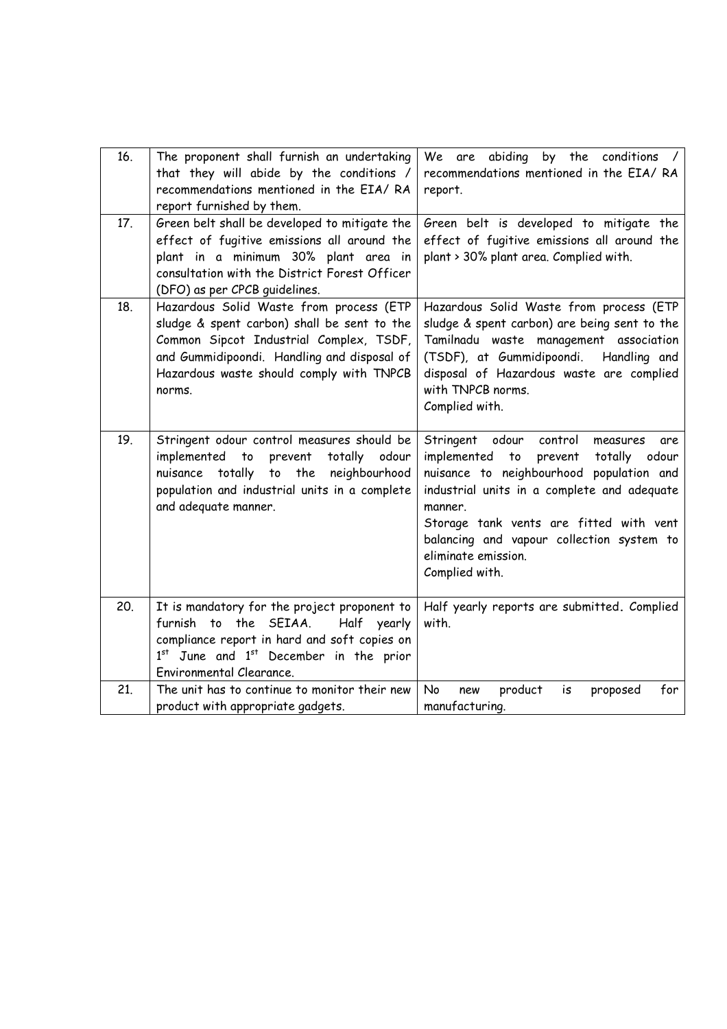| 16. | The proponent shall furnish an undertaking<br>that they will abide by the conditions /<br>recommendations mentioned in the EIA/RA<br>report furnished by them.                                                                         | We are abiding by the conditions /<br>recommendations mentioned in the EIA/RA<br>report.                                                                                                                                                                                                                                                         |
|-----|----------------------------------------------------------------------------------------------------------------------------------------------------------------------------------------------------------------------------------------|--------------------------------------------------------------------------------------------------------------------------------------------------------------------------------------------------------------------------------------------------------------------------------------------------------------------------------------------------|
| 17. | Green belt shall be developed to mitigate the<br>effect of fugitive emissions all around the<br>plant in a minimum 30% plant area in<br>consultation with the District Forest Officer<br>(DFO) as per CPCB guidelines.                 | Green belt is developed to mitigate the<br>effect of fugitive emissions all around the<br>plant > 30% plant area. Complied with.                                                                                                                                                                                                                 |
| 18. | Hazardous Solid Waste from process (ETP<br>sludge & spent carbon) shall be sent to the<br>Common Sipcot Industrial Complex, TSDF,<br>and Gummidipoondi. Handling and disposal of<br>Hazardous waste should comply with TNPCB<br>norms. | Hazardous Solid Waste from process (ETP<br>sludge & spent carbon) are being sent to the<br>Tamilnadu waste management association<br>(TSDF), at Gummidipoondi.<br>Handling and<br>disposal of Hazardous waste are complied<br>with TNPCB norms.<br>Complied with.                                                                                |
| 19. | Stringent odour control measures should be<br>implemented to<br>prevent<br>totally<br>odour<br>the<br>totally<br>to<br>neighbourhood<br>nuisance<br>population and industrial units in a complete<br>and adequate manner.              | control<br>Stringent odour<br>measures<br>are<br>implemented<br>$\mathsf{to}$<br>prevent<br>totally odour<br>nuisance to neighbourhood population and<br>industrial units in a complete and adequate<br>manner.<br>Storage tank vents are fitted with vent<br>balancing and vapour collection system to<br>eliminate emission.<br>Complied with. |
| 20. | It is mandatory for the project proponent to<br>furnish to the SEIAA.<br>Half yearly<br>compliance report in hard and soft copies on<br>1st June and 1st December in the prior<br>Environmental Clearance.                             | Half yearly reports are submitted. Complied<br>with.                                                                                                                                                                                                                                                                                             |
| 21. | The unit has to continue to monitor their new<br>product with appropriate gadgets.                                                                                                                                                     | for<br>No<br>product<br>proposed<br>new<br>is<br>manufacturing.                                                                                                                                                                                                                                                                                  |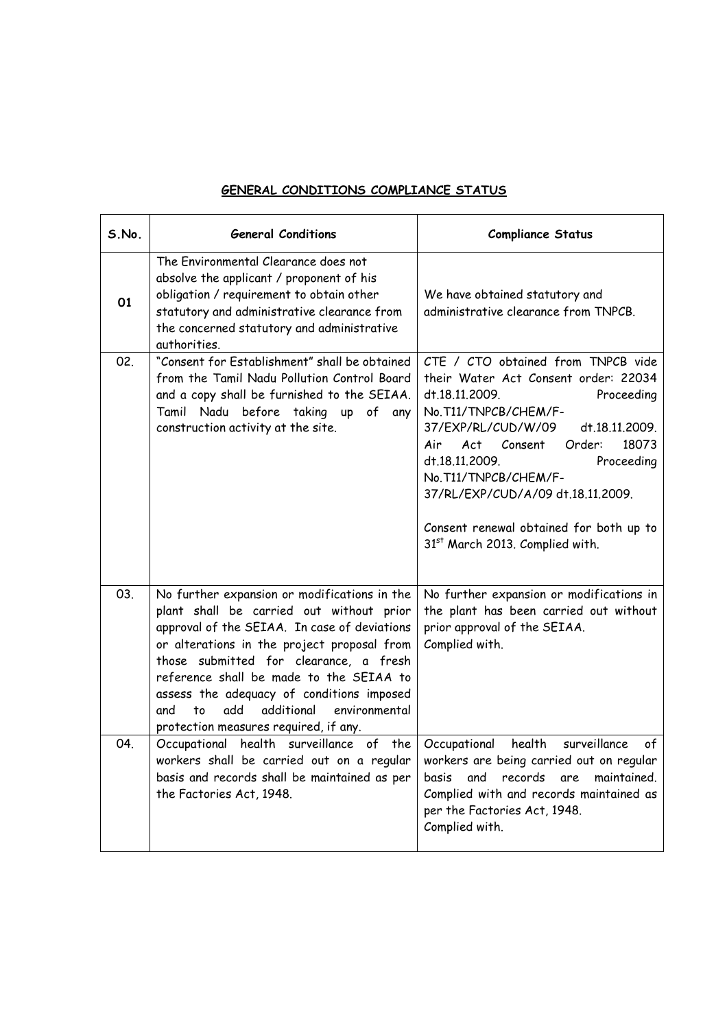## GENERAL CONDITIONS COMPLIANCE STATUS

| S.No. | <b>General Conditions</b>                                                                                                                                                                                                                                                                                                                                                                                             | <b>Compliance Status</b>                                                                                                                                                                                                                                                                                                                                                                       |
|-------|-----------------------------------------------------------------------------------------------------------------------------------------------------------------------------------------------------------------------------------------------------------------------------------------------------------------------------------------------------------------------------------------------------------------------|------------------------------------------------------------------------------------------------------------------------------------------------------------------------------------------------------------------------------------------------------------------------------------------------------------------------------------------------------------------------------------------------|
| 01    | The Environmental Clearance does not<br>absolve the applicant / proponent of his<br>obligation / requirement to obtain other<br>statutory and administrative clearance from<br>the concerned statutory and administrative<br>authorities.                                                                                                                                                                             | We have obtained statutory and<br>administrative clearance from TNPCB.                                                                                                                                                                                                                                                                                                                         |
| 02.   | "Consent for Establishment" shall be obtained<br>from the Tamil Nadu Pollution Control Board<br>and a copy shall be furnished to the SEIAA.<br>Tamil Nadu before taking up of any<br>construction activity at the site.                                                                                                                                                                                               | CTE / CTO obtained from TNPCB vide<br>their Water Act Consent order: 22034<br>dt.18.11.2009.<br>Proceeding<br>No.T11/TNPCB/CHEM/F-<br>37/EXP/RL/CUD/W/09<br>dt.18.11.2009.<br>Act Consent<br>Order:<br>18073<br>Air<br>dt.18.11.2009.<br>Proceeding<br>No.T11/TNPCB/CHEM/F-<br>37/RL/EXP/CUD/A/09 dt.18.11.2009.<br>Consent renewal obtained for both up to<br>31st March 2013. Complied with. |
| 03.   | No further expansion or modifications in the<br>plant shall be carried out without prior<br>approval of the SEIAA. In case of deviations<br>or alterations in the project proposal from<br>those submitted for clearance, a fresh<br>reference shall be made to the SEIAA to<br>assess the adequacy of conditions imposed<br>add<br>additional<br>to<br>environmental<br>and<br>protection measures required, if any. | No further expansion or modifications in<br>the plant has been carried out without<br>prior approval of the SEIAA.<br>Complied with.                                                                                                                                                                                                                                                           |
| 04.   | Occupational health surveillance of the<br>workers shall be carried out on a regular<br>basis and records shall be maintained as per<br>the Factories Act, 1948.                                                                                                                                                                                                                                                      | health<br>surveillance<br>Occupational<br>$\circ f$<br>workers are being carried out on regular<br>records<br>basis<br>and<br>are<br>maintained.<br>Complied with and records maintained as<br>per the Factories Act, 1948.<br>Complied with.                                                                                                                                                  |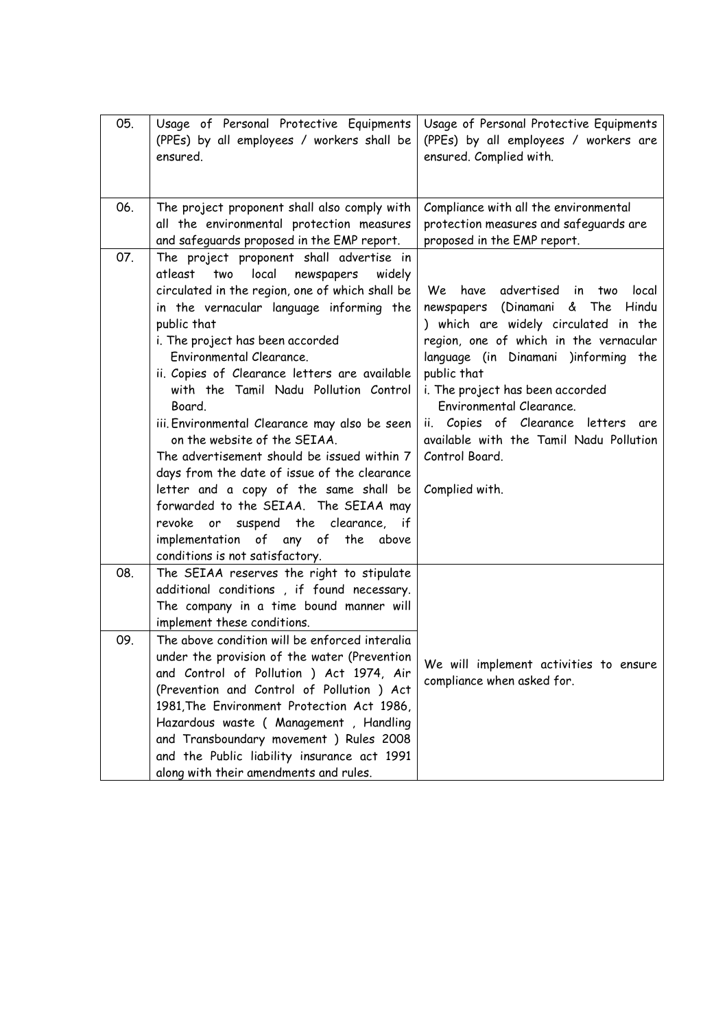| 05. | Usage of Personal Protective Equipments<br>(PPEs) by all employees / workers shall be<br>ensured.                                                                                                                                                                                                                                                                                                                                                                                                                                                                                                                                                                                                                                                                      | Usage of Personal Protective Equipments<br>(PPEs) by all employees / workers are<br>ensured. Complied with.                                                                                                                                                                                                                                                                                                    |
|-----|------------------------------------------------------------------------------------------------------------------------------------------------------------------------------------------------------------------------------------------------------------------------------------------------------------------------------------------------------------------------------------------------------------------------------------------------------------------------------------------------------------------------------------------------------------------------------------------------------------------------------------------------------------------------------------------------------------------------------------------------------------------------|----------------------------------------------------------------------------------------------------------------------------------------------------------------------------------------------------------------------------------------------------------------------------------------------------------------------------------------------------------------------------------------------------------------|
| 06. | The project proponent shall also comply with<br>all the environmental protection measures<br>and safeguards proposed in the EMP report.                                                                                                                                                                                                                                                                                                                                                                                                                                                                                                                                                                                                                                | Compliance with all the environmental<br>protection measures and safeguards are<br>proposed in the EMP report.                                                                                                                                                                                                                                                                                                 |
| 07. | The project proponent shall advertise in<br>atleast<br>two<br>local<br>newspapers<br>widely<br>circulated in the region, one of which shall be<br>in the vernacular language informing the<br>public that<br>i. The project has been accorded<br>Environmental Clearance.<br>ii. Copies of Clearance letters are available<br>with the Tamil Nadu Pollution Control<br>Board.<br>iii. Environmental Clearance may also be seen<br>on the website of the SEIAA.<br>The advertisement should be issued within 7<br>days from the date of issue of the clearance<br>letter and a copy of the same shall be<br>forwarded to the SEIAA. The SEIAA may<br>or suspend the clearance, if<br>revoke<br>implementation of any of<br>the above<br>conditions is not satisfactory. | have advertised in<br>local<br>We<br>two<br>Hindu<br>newspapers (Dinamani & The<br>) which are widely circulated in the<br>region, one of which in the vernacular<br>language (in Dinamani )informing the<br>public that<br>i. The project has been accorded<br>Environmental Clearance.<br>ii. Copies of Clearance letters are<br>available with the Tamil Nadu Pollution<br>Control Board.<br>Complied with. |
| 08. | The SEIAA reserves the right to stipulate<br>additional conditions, if found necessary.<br>The company in a time bound manner will<br>implement these conditions.                                                                                                                                                                                                                                                                                                                                                                                                                                                                                                                                                                                                      |                                                                                                                                                                                                                                                                                                                                                                                                                |
| 09. | The above condition will be enforced interalia<br>under the provision of the water (Prevention<br>and Control of Pollution ) Act 1974, Air<br>(Prevention and Control of Pollution ) Act<br>1981, The Environment Protection Act 1986,<br>Hazardous waste ( Management , Handling<br>and Transboundary movement ) Rules 2008<br>and the Public liability insurance act 1991<br>along with their amendments and rules.                                                                                                                                                                                                                                                                                                                                                  | We will implement activities to ensure<br>compliance when asked for.                                                                                                                                                                                                                                                                                                                                           |